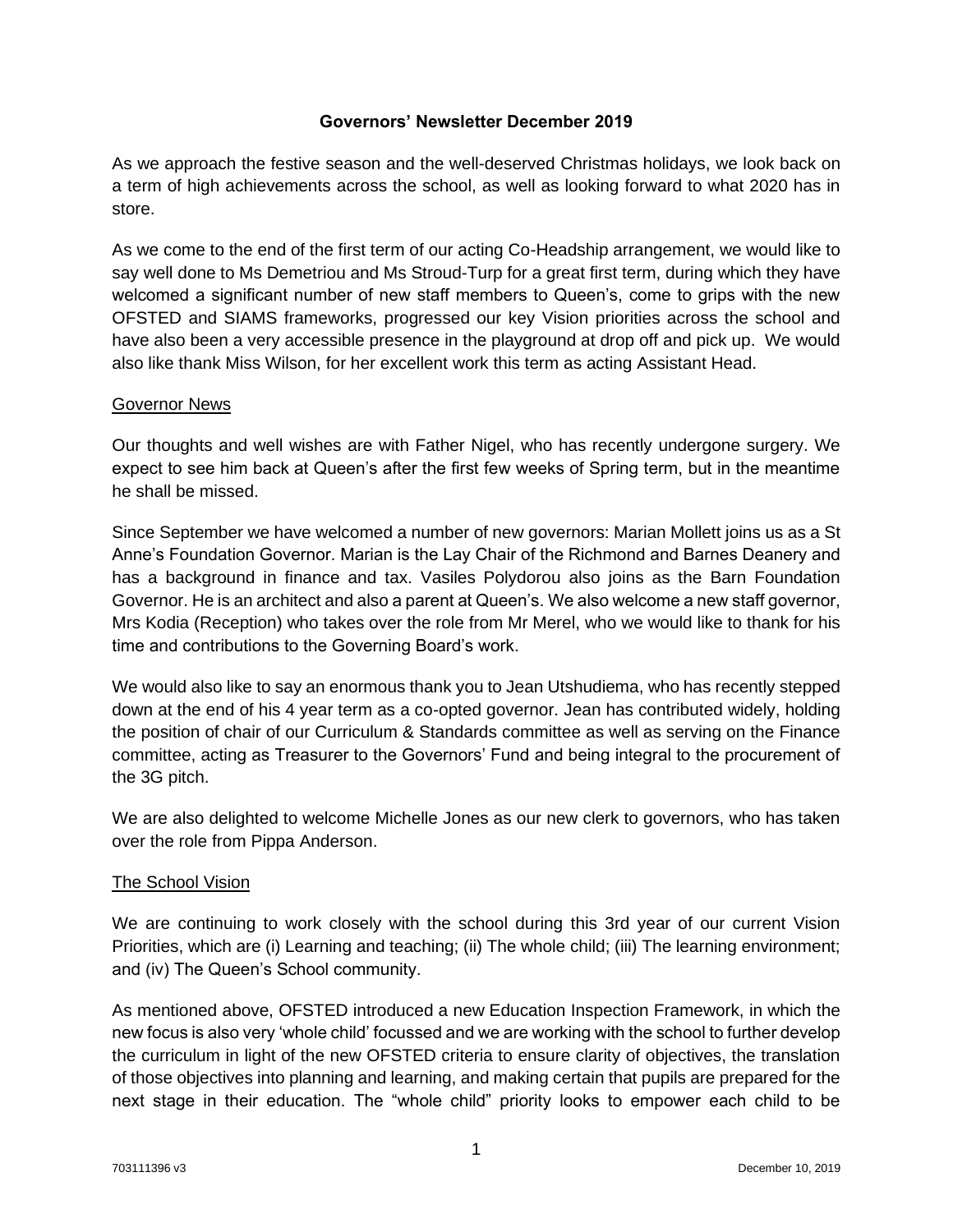#### **Governors' Newsletter December 2019**

As we approach the festive season and the well-deserved Christmas holidays, we look back on a term of high achievements across the school, as well as looking forward to what 2020 has in store.

As we come to the end of the first term of our acting Co-Headship arrangement, we would like to say well done to Ms Demetriou and Ms Stroud-Turp for a great first term, during which they have welcomed a significant number of new staff members to Queen's, come to grips with the new OFSTED and SIAMS frameworks, progressed our key Vision priorities across the school and have also been a very accessible presence in the playground at drop off and pick up. We would also like thank Miss Wilson, for her excellent work this term as acting Assistant Head.

#### Governor News

Our thoughts and well wishes are with Father Nigel, who has recently undergone surgery. We expect to see him back at Queen's after the first few weeks of Spring term, but in the meantime he shall be missed.

Since September we have welcomed a number of new governors: Marian Mollett joins us as a St Anne's Foundation Governor. Marian is the Lay Chair of the Richmond and Barnes Deanery and has a background in finance and tax. Vasiles Polydorou also joins as the Barn Foundation Governor. He is an architect and also a parent at Queen's. We also welcome a new staff governor, Mrs Kodia (Reception) who takes over the role from Mr Merel, who we would like to thank for his time and contributions to the Governing Board's work.

We would also like to say an enormous thank you to Jean Utshudiema, who has recently stepped down at the end of his 4 year term as a co-opted governor. Jean has contributed widely, holding the position of chair of our Curriculum & Standards committee as well as serving on the Finance committee, acting as Treasurer to the Governors' Fund and being integral to the procurement of the 3G pitch.

We are also delighted to welcome Michelle Jones as our new clerk to governors, who has taken over the role from Pippa Anderson.

#### The School Vision

We are continuing to work closely with the school during this 3rd year of our current Vision Priorities, which are (i) Learning and teaching; (ii) The whole child; (iii) The learning environment; and (iv) The Queen's School community.

As mentioned above, OFSTED introduced a new Education Inspection Framework, in which the new focus is also very 'whole child' focussed and we are working with the school to further develop the curriculum in light of the new OFSTED criteria to ensure clarity of objectives, the translation of those objectives into planning and learning, and making certain that pupils are prepared for the next stage in their education. The "whole child" priority looks to empower each child to be